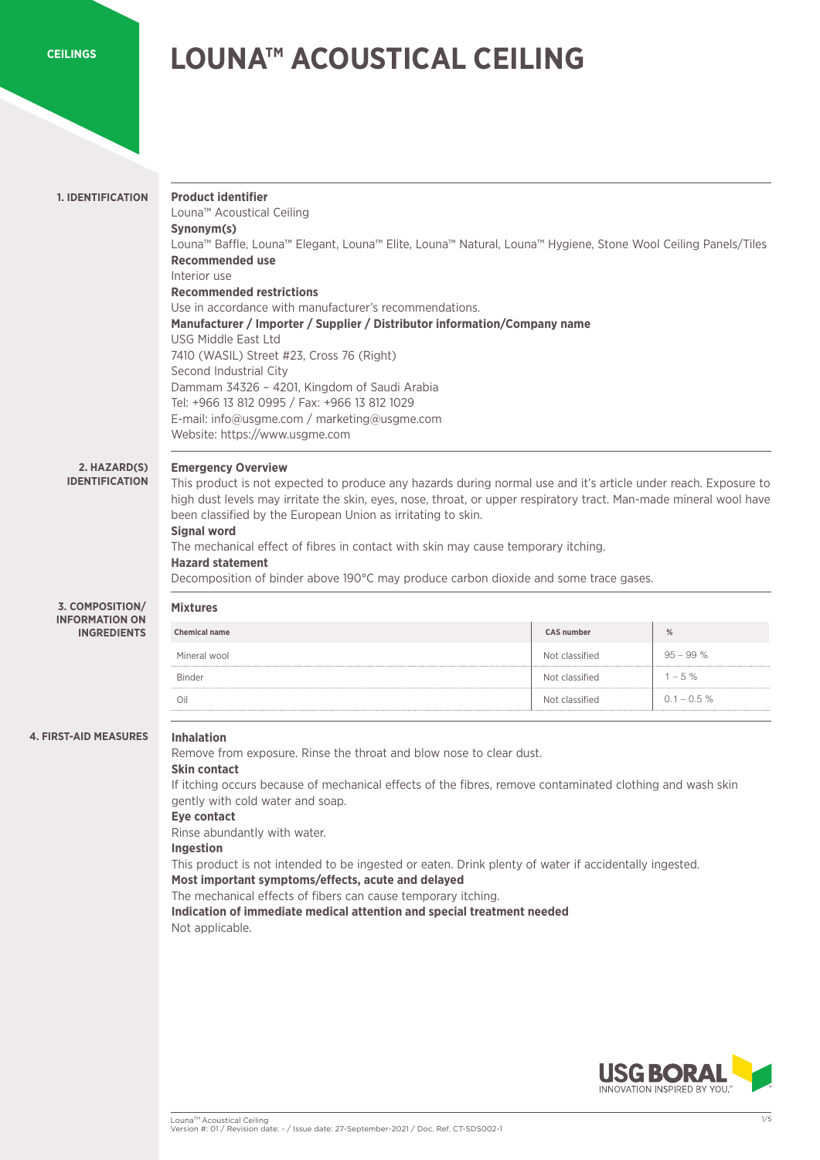## **[CEILINGS](https://www.usgme.com)**

# **LOUNA™ ACOUSTICAL CEILING**

| <b>Product identifier</b><br>Louna <sup>™</sup> Acoustical Ceiling<br>Synonym(s)<br><b>Recommended use</b><br>Interior use<br><b>Recommended restrictions</b><br><b>USG Middle East Ltd</b><br>7410 (WASIL) Street #23, Cross 76 (Right)<br>Second Industrial City<br>Dammam 34326 - 4201, Kingdom of Saudi Arabia<br>Tel: +966 13 812 0995 / Fax: +966 13 812 1029<br>E-mail: info@usgme.com / marketing@usgme.com<br>Website: https://www.usgme.com                                                                                                            |                                                                                                                                                                                                                    |                                                                                                                                                                                                                                                                                                                                                                                                                                                                                                                             |
|------------------------------------------------------------------------------------------------------------------------------------------------------------------------------------------------------------------------------------------------------------------------------------------------------------------------------------------------------------------------------------------------------------------------------------------------------------------------------------------------------------------------------------------------------------------|--------------------------------------------------------------------------------------------------------------------------------------------------------------------------------------------------------------------|-----------------------------------------------------------------------------------------------------------------------------------------------------------------------------------------------------------------------------------------------------------------------------------------------------------------------------------------------------------------------------------------------------------------------------------------------------------------------------------------------------------------------------|
| <b>Emergency Overview</b><br>This product is not expected to produce any hazards during normal use and it's article under reach. Exposure to<br>high dust levels may irritate the skin, eyes, nose, throat, or upper respiratory tract. Man-made mineral wool have<br>been classified by the European Union as irritating to skin.<br><b>Signal word</b><br>The mechanical effect of fibres in contact with skin may cause temporary itching.<br><b>Hazard statement</b><br>Decomposition of binder above 190°C may produce carbon dioxide and some trace gases. |                                                                                                                                                                                                                    |                                                                                                                                                                                                                                                                                                                                                                                                                                                                                                                             |
| <b>Mixtures</b>                                                                                                                                                                                                                                                                                                                                                                                                                                                                                                                                                  |                                                                                                                                                                                                                    |                                                                                                                                                                                                                                                                                                                                                                                                                                                                                                                             |
| <b>Chemical name</b>                                                                                                                                                                                                                                                                                                                                                                                                                                                                                                                                             | <b>CAS number</b>                                                                                                                                                                                                  | $\%$                                                                                                                                                                                                                                                                                                                                                                                                                                                                                                                        |
| Mineral wool                                                                                                                                                                                                                                                                                                                                                                                                                                                                                                                                                     | Not classified                                                                                                                                                                                                     | $95 - 99%$                                                                                                                                                                                                                                                                                                                                                                                                                                                                                                                  |
| <b>Binder</b>                                                                                                                                                                                                                                                                                                                                                                                                                                                                                                                                                    | Not classified                                                                                                                                                                                                     | $1 - 5%$                                                                                                                                                                                                                                                                                                                                                                                                                                                                                                                    |
| Oil                                                                                                                                                                                                                                                                                                                                                                                                                                                                                                                                                              | Not classified                                                                                                                                                                                                     | $0.1 - 0.5 %$                                                                                                                                                                                                                                                                                                                                                                                                                                                                                                               |
| <b>Inhalation</b><br><b>Skin contact</b><br>gently with cold water and soap.<br>Eye contact<br>Rinse abundantly with water.<br><b>Ingestion</b><br>Not applicable.                                                                                                                                                                                                                                                                                                                                                                                               | If itching occurs because of mechanical effects of the fibres, remove contaminated clothing and wash skin<br>This product is not intended to be ingested or eaten. Drink plenty of water if accidentally ingested. |                                                                                                                                                                                                                                                                                                                                                                                                                                                                                                                             |
|                                                                                                                                                                                                                                                                                                                                                                                                                                                                                                                                                                  |                                                                                                                                                                                                                    | Louna™ Baffle, Louna™ Elegant, Louna™ Elite, Louna™ Natural, Louna™ Hygiene, Stone Wool Ceiling Panels/Tiles<br>Use in accordance with manufacturer's recommendations.<br>Manufacturer / Importer / Supplier / Distributor information/Company name<br>Remove from exposure. Rinse the throat and blow nose to clear dust.<br>Most important symptoms/effects, acute and delayed<br>The mechanical effects of fibers can cause temporary itching.<br>Indication of immediate medical attention and special treatment needed |

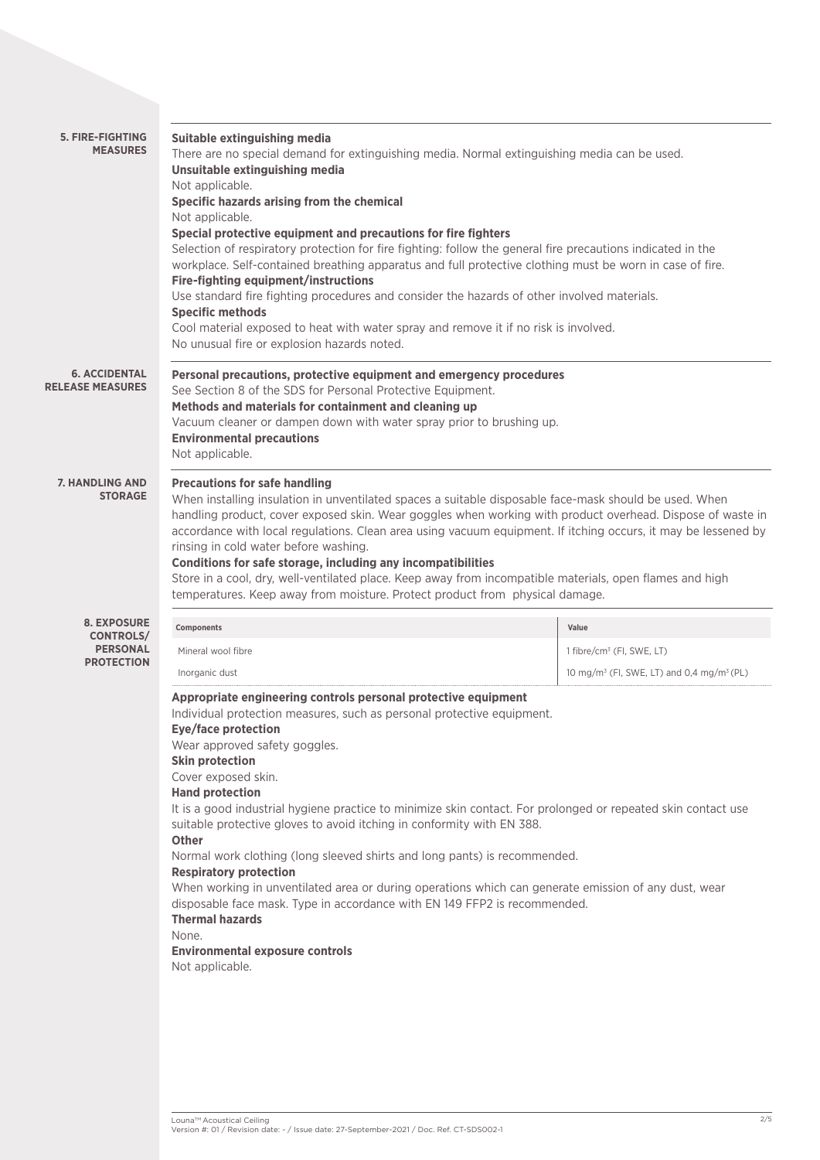| <b>5. FIRE-FIGHTING</b><br><b>MEASURES</b>                                     | Suitable extinguishing media<br>There are no special demand for extinguishing media. Normal extinguishing media can be used.<br>Unsuitable extinguishing media<br>Not applicable.<br>Specific hazards arising from the chemical<br>Not applicable.<br>Special protective equipment and precautions for fire fighters<br>Selection of respiratory protection for fire fighting: follow the general fire precautions indicated in the<br>workplace. Self-contained breathing apparatus and full protective clothing must be worn in case of fire.<br>Fire-fighting equipment/instructions<br>Use standard fire fighting procedures and consider the hazards of other involved materials.<br><b>Specific methods</b><br>Cool material exposed to heat with water spray and remove it if no risk is involved.<br>No unusual fire or explosion hazards noted.                                  |                                                                   |  |
|--------------------------------------------------------------------------------|-------------------------------------------------------------------------------------------------------------------------------------------------------------------------------------------------------------------------------------------------------------------------------------------------------------------------------------------------------------------------------------------------------------------------------------------------------------------------------------------------------------------------------------------------------------------------------------------------------------------------------------------------------------------------------------------------------------------------------------------------------------------------------------------------------------------------------------------------------------------------------------------|-------------------------------------------------------------------|--|
| <b>6. ACCIDENTAL</b><br><b>RELEASE MEASURES</b>                                | Personal precautions, protective equipment and emergency procedures<br>See Section 8 of the SDS for Personal Protective Equipment.<br>Methods and materials for containment and cleaning up<br>Vacuum cleaner or dampen down with water spray prior to brushing up.<br><b>Environmental precautions</b><br>Not applicable.                                                                                                                                                                                                                                                                                                                                                                                                                                                                                                                                                                |                                                                   |  |
| <b>7. HANDLING AND</b><br><b>STORAGE</b>                                       | <b>Precautions for safe handling</b><br>When installing insulation in unventilated spaces a suitable disposable face-mask should be used. When<br>handling product, cover exposed skin. Wear goggles when working with product overhead. Dispose of waste in<br>accordance with local regulations. Clean area using vacuum equipment. If itching occurs, it may be lessened by<br>rinsing in cold water before washing.<br>Conditions for safe storage, including any incompatibilities<br>Store in a cool, dry, well-ventilated place. Keep away from incompatible materials, open flames and high<br>temperatures. Keep away from moisture. Protect product from physical damage.                                                                                                                                                                                                       |                                                                   |  |
| <b>8. EXPOSURE</b><br><b>CONTROLS/</b><br><b>PERSONAL</b><br><b>PROTECTION</b> | Components                                                                                                                                                                                                                                                                                                                                                                                                                                                                                                                                                                                                                                                                                                                                                                                                                                                                                | Value                                                             |  |
|                                                                                | Mineral wool fibre                                                                                                                                                                                                                                                                                                                                                                                                                                                                                                                                                                                                                                                                                                                                                                                                                                                                        | 1 fibre/cm <sup>3</sup> (FI, SWE, LT)                             |  |
|                                                                                | Inorganic dust                                                                                                                                                                                                                                                                                                                                                                                                                                                                                                                                                                                                                                                                                                                                                                                                                                                                            | 10 mg/m <sup>3</sup> (FI, SWE, LT) and 0,4 mg/m <sup>3</sup> (PL) |  |
|                                                                                | Appropriate engineering controls personal protective equipment<br>Individual protection measures, such as personal protective equipment.<br>Eye/face protection<br>Wear approved safety goggles.<br><b>Skin protection</b><br>Cover exposed skin.<br><b>Hand protection</b><br>It is a good industrial hygiene practice to minimize skin contact. For prolonged or repeated skin contact use<br>suitable protective gloves to avoid itching in conformity with EN 388.<br><b>Other</b><br>Normal work clothing (long sleeved shirts and long pants) is recommended.<br><b>Respiratory protection</b><br>When working in unventilated area or during operations which can generate emission of any dust, wear<br>disposable face mask. Type in accordance with EN 149 FFP2 is recommended.<br><b>Thermal hazards</b><br>None.<br><b>Environmental exposure controls</b><br>Not applicable. |                                                                   |  |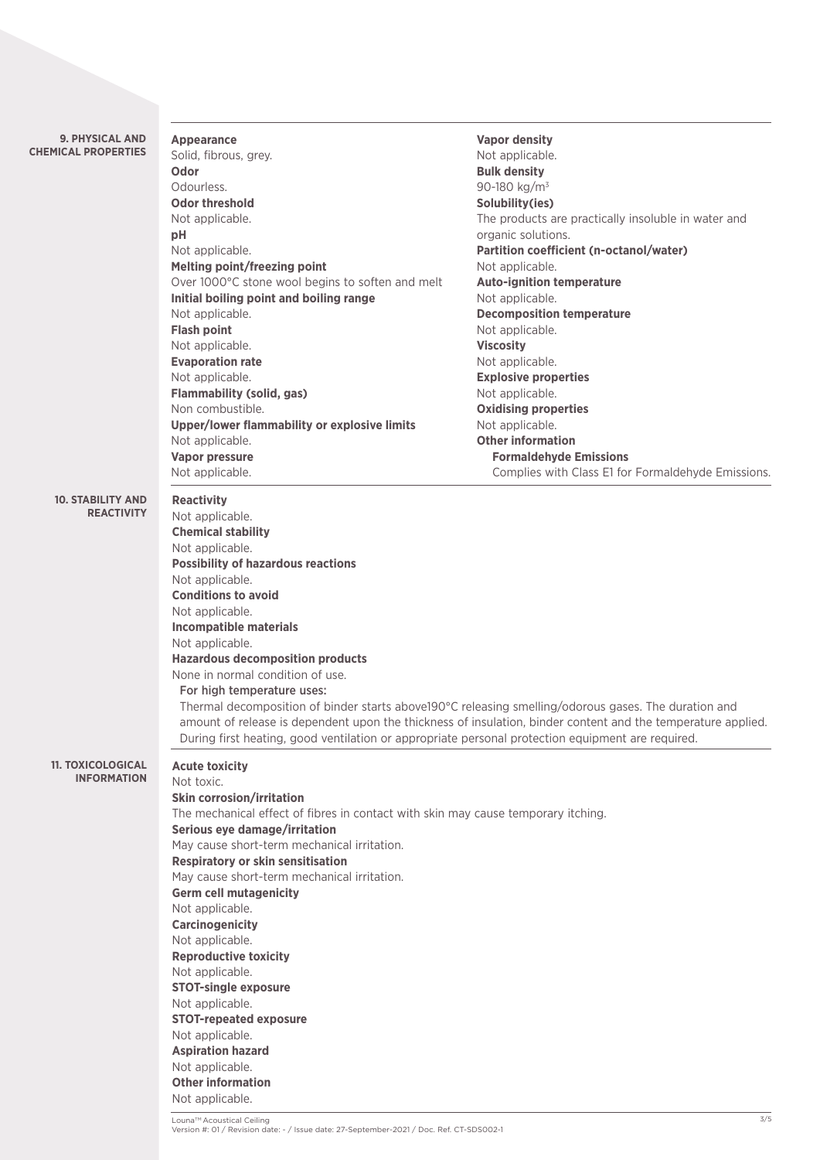| <b>9. PHYSICAL AND</b>                         | <b>Appearance</b>                                                                                 | <b>Vapor density</b>                                                                                         |  |
|------------------------------------------------|---------------------------------------------------------------------------------------------------|--------------------------------------------------------------------------------------------------------------|--|
| <b>CHEMICAL PROPERTIES</b>                     | Solid, fibrous, grey.                                                                             | Not applicable.                                                                                              |  |
|                                                | Odor                                                                                              | <b>Bulk density</b>                                                                                          |  |
|                                                | Odourless.                                                                                        | 90-180 kg/m <sup>3</sup>                                                                                     |  |
|                                                | <b>Odor threshold</b>                                                                             | Solubility(ies)                                                                                              |  |
|                                                | Not applicable.                                                                                   | The products are practically insoluble in water and                                                          |  |
|                                                | pH                                                                                                | organic solutions.                                                                                           |  |
|                                                | Not applicable.                                                                                   | Partition coefficient (n-octanol/water)                                                                      |  |
|                                                | Melting point/freezing point                                                                      | Not applicable.                                                                                              |  |
|                                                | Over 1000°C stone wool begins to soften and melt                                                  | <b>Auto-ignition temperature</b>                                                                             |  |
|                                                | Initial boiling point and boiling range                                                           | Not applicable.                                                                                              |  |
|                                                | Not applicable.                                                                                   | <b>Decomposition temperature</b>                                                                             |  |
|                                                | <b>Flash point</b>                                                                                | Not applicable.                                                                                              |  |
|                                                | Not applicable.                                                                                   | <b>Viscosity</b>                                                                                             |  |
|                                                | <b>Evaporation rate</b>                                                                           | Not applicable.                                                                                              |  |
|                                                | Not applicable.                                                                                   | <b>Explosive properties</b>                                                                                  |  |
|                                                | <b>Flammability (solid, gas)</b>                                                                  | Not applicable.                                                                                              |  |
|                                                | Non combustible.                                                                                  | <b>Oxidising properties</b>                                                                                  |  |
|                                                | Upper/lower flammability or explosive limits                                                      | Not applicable.                                                                                              |  |
|                                                | Not applicable.                                                                                   | <b>Other information</b>                                                                                     |  |
|                                                | <b>Vapor pressure</b>                                                                             | <b>Formaldehyde Emissions</b>                                                                                |  |
|                                                | Not applicable.                                                                                   | Complies with Class E1 for Formaldehyde Emissions.                                                           |  |
| <b>10. STABILITY AND</b>                       | <b>Reactivity</b>                                                                                 |                                                                                                              |  |
| <b>REACTIVITY</b>                              | Not applicable.                                                                                   |                                                                                                              |  |
|                                                | <b>Chemical stability</b>                                                                         |                                                                                                              |  |
|                                                | Not applicable.                                                                                   |                                                                                                              |  |
|                                                | <b>Possibility of hazardous reactions</b>                                                         |                                                                                                              |  |
|                                                | Not applicable.                                                                                   |                                                                                                              |  |
|                                                | <b>Conditions to avoid</b>                                                                        |                                                                                                              |  |
|                                                | Not applicable.                                                                                   |                                                                                                              |  |
|                                                | <b>Incompatible materials</b>                                                                     |                                                                                                              |  |
|                                                | Not applicable.                                                                                   |                                                                                                              |  |
|                                                | <b>Hazardous decomposition products</b>                                                           |                                                                                                              |  |
|                                                | None in normal condition of use.                                                                  |                                                                                                              |  |
|                                                | For high temperature uses:                                                                        |                                                                                                              |  |
|                                                |                                                                                                   | Thermal decomposition of binder starts above190°C releasing smelling/odorous gases. The duration and         |  |
|                                                |                                                                                                   | amount of release is dependent upon the thickness of insulation, binder content and the temperature applied. |  |
|                                                | During first heating, good ventilation or appropriate personal protection equipment are required. |                                                                                                              |  |
|                                                |                                                                                                   |                                                                                                              |  |
| <b>11. TOXICOLOGICAL</b><br><b>INFORMATION</b> | <b>Acute toxicity</b>                                                                             |                                                                                                              |  |
|                                                | Not toxic.                                                                                        |                                                                                                              |  |
|                                                | <b>Skin corrosion/irritation</b>                                                                  |                                                                                                              |  |
|                                                | The mechanical effect of fibres in contact with skin may cause temporary itching.                 |                                                                                                              |  |
|                                                | Serious eye damage/irritation                                                                     |                                                                                                              |  |
|                                                | May cause short-term mechanical irritation.                                                       |                                                                                                              |  |
|                                                | <b>Respiratory or skin sensitisation</b>                                                          |                                                                                                              |  |
|                                                | May cause short-term mechanical irritation.                                                       |                                                                                                              |  |
|                                                | <b>Germ cell mutagenicity</b>                                                                     |                                                                                                              |  |
|                                                | Not applicable.                                                                                   |                                                                                                              |  |
|                                                | <b>Carcinogenicity</b>                                                                            |                                                                                                              |  |
|                                                | Not applicable.                                                                                   |                                                                                                              |  |
|                                                | <b>Reproductive toxicity</b>                                                                      |                                                                                                              |  |
|                                                | Not applicable.                                                                                   |                                                                                                              |  |
|                                                | <b>STOT-single exposure</b>                                                                       |                                                                                                              |  |
|                                                | Not applicable.                                                                                   |                                                                                                              |  |
|                                                | <b>STOT-repeated exposure</b>                                                                     |                                                                                                              |  |
|                                                | Not applicable.                                                                                   |                                                                                                              |  |
|                                                | <b>Aspiration hazard</b>                                                                          |                                                                                                              |  |
|                                                | Not applicable.                                                                                   |                                                                                                              |  |
|                                                | <b>Other information</b>                                                                          |                                                                                                              |  |
|                                                | Not applicable.                                                                                   |                                                                                                              |  |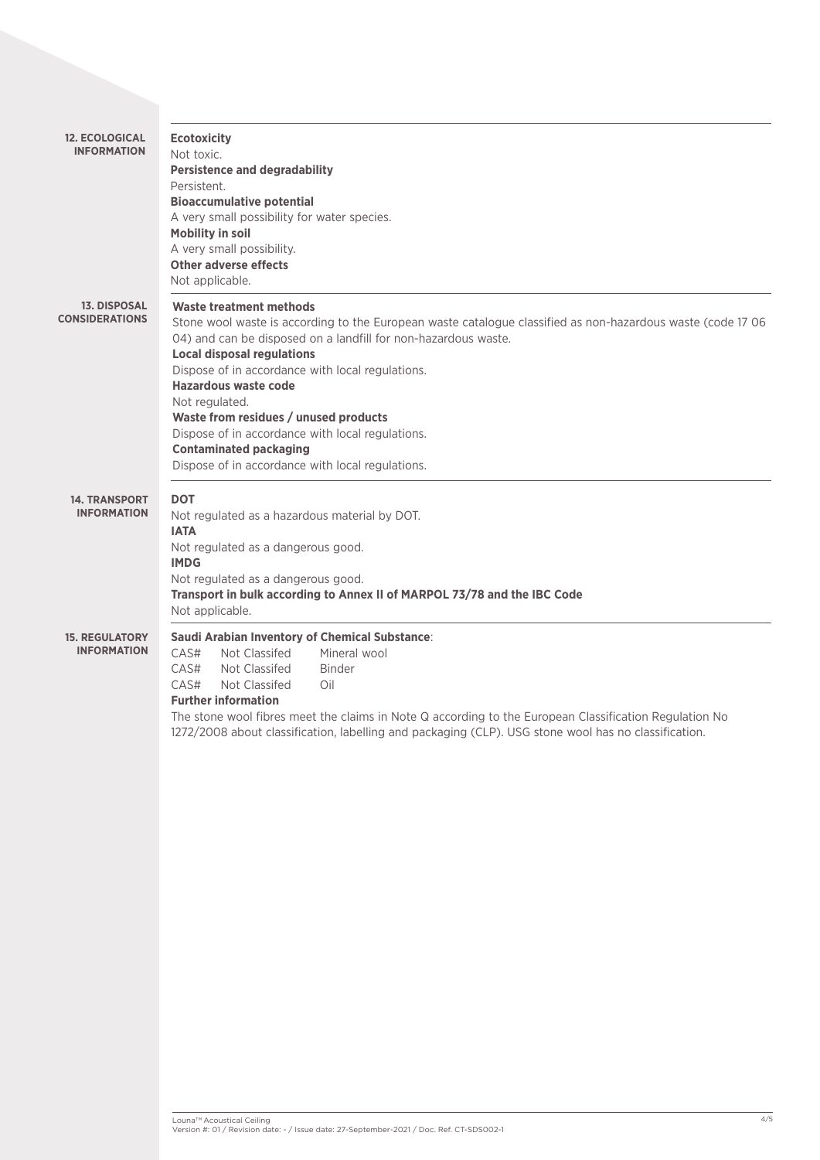| <b>12. ECOLOGICAL</b><br><b>INFORMATION</b>  | <b>Ecotoxicity</b><br>Not toxic.<br><b>Persistence and degradability</b><br>Persistent.<br><b>Bioaccumulative potential</b><br>A very small possibility for water species.<br><b>Mobility in soil</b><br>A very small possibility.<br><b>Other adverse effects</b><br>Not applicable.                                                                                                                                                                                                                                                |
|----------------------------------------------|--------------------------------------------------------------------------------------------------------------------------------------------------------------------------------------------------------------------------------------------------------------------------------------------------------------------------------------------------------------------------------------------------------------------------------------------------------------------------------------------------------------------------------------|
| <b>13. DISPOSAL</b><br><b>CONSIDERATIONS</b> | <b>Waste treatment methods</b><br>Stone wool waste is according to the European waste catalogue classified as non-hazardous waste (code 17 06<br>04) and can be disposed on a landfill for non-hazardous waste.<br><b>Local disposal regulations</b><br>Dispose of in accordance with local regulations.<br>Hazardous waste code<br>Not regulated.<br>Waste from residues / unused products<br>Dispose of in accordance with local regulations.<br><b>Contaminated packaging</b><br>Dispose of in accordance with local regulations. |
| <b>14. TRANSPORT</b><br><b>INFORMATION</b>   | <b>DOT</b><br>Not regulated as a hazardous material by DOT.<br><b>IATA</b><br>Not regulated as a dangerous good.<br><b>IMDG</b><br>Not regulated as a dangerous good.<br>Transport in bulk according to Annex II of MARPOL 73/78 and the IBC Code<br>Not applicable.                                                                                                                                                                                                                                                                 |
| <b>15. REGULATORY</b><br><b>INFORMATION</b>  | Saudi Arabian Inventory of Chemical Substance:<br>Not Classifed<br>Mineral wool<br>CAS#<br>CAS#<br>Not Classifed<br><b>Binder</b><br>CAS#<br>Not Classifed<br>Oil<br><b>Further information</b><br>The stone wool fibres meet the claims in Note Q according to the European Classification Regulation No<br>1272/2008 about classification, labelling and packaging (CLP). USG stone wool has no classification.                                                                                                                    |